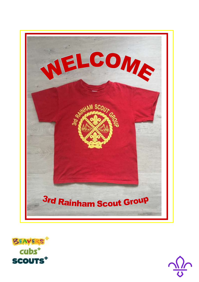



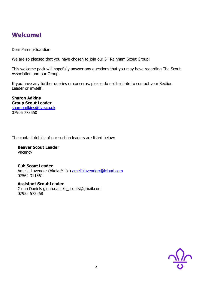## **Welcome!**

Dear Parent/Guardian

We are so pleased that you have chosen to join our 3rd Rainham Scout Group!

This welcome pack will hopefully answer any questions that you may have regarding The Scout Association and our Group.

If you have any further queries or concerns, please do not hesitate to contact your Section Leader or myself.

**Sharon Adkins Group Scout Leader** [sharonadkins@live.co.uk](mailto:sharonadkins@live.co.uk) 07905 773550

The contact details of our section leaders are listed below:

**Beaver Scout Leader Vacancy** 

#### **Cub Scout Leader**

Amelia Lavender (Akela Millie) [amelialavenderr@icloud.com](mailto:amelialavenderr@icloud.com) 07562 311361

**Assistant Scout Leader** Glenn Daniels [glenn.daniels\\_scouts@gmail.com](mailto:glenn.daniels_scouts@gmail.com) 07952 572268

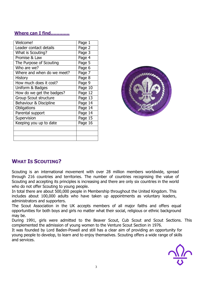### **Where can I find………….**

| Welcome!                     | Page 1              |
|------------------------------|---------------------|
| Leader contact details       | Page 2              |
| <b>What is Scouting?</b>     | Page 3              |
| Promise & Law                | Page $\overline{4}$ |
| The Purpose of Scouting      | Page 5              |
| Who are we?                  | Page 6              |
| Where and when do we meet?   | Page $\overline{7}$ |
| <b>History</b>               | Page 8              |
| How much does it cost?       | Page 9              |
| Uniform & Badges             | Page $10$           |
| How do we get the badges?    | Page 12             |
| <b>Group Scout structure</b> | Page 13             |
| Behaviour & Discipline       | Page 14             |
| Obligations                  | Page 14             |
| Parental support             | Page 14             |
| Supervision                  | Page 15             |
| Keeping you up to date       | Page 16             |
|                              |                     |
|                              |                     |
|                              |                     |



## **WHAT IS SCOUTING?**

Scouting is an international movement with over 28 million members worldwide, spread through 216 countries and territories. The number of countries recognising the value of Scouting and accepting its principles is increasing and there are only six countries in the world who do not offer Scouting to young people.

In total there are about 500,000 people in Membership throughout the United Kingdom. This includes about 100,000 adults who have taken up appointments as voluntary leaders, administrators and supporters.

The Scout Association in the UK accepts members of all major faiths and offers equal opportunities for both boys and girls no matter what their social, religious or ethnic background may be.

During 1991, girls were admitted to the Beaver Scout, Cub Scout and Scout Sections. This complemented the admission of young women to the Venture Scout Section in 1976.

It was founded by Lord Baden-Powell and still has a clear aim of providing an opportunity for young people to develop, to learn and to enjoy themselves. Scouting offers a wide range of skills and services.

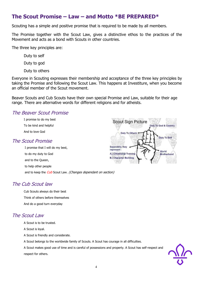## **The Scout Promise – Law – and Motto \*BE PREPARED\***

Scouting has a simple and positive promise that is required to be made by all members.

The Promise together with the Scout Law, gives a distinctive ethos to the practices of the Movement and acts as a bond with Scouts in other countries.

The three key principles are:

Duty to self

Duty to god

Duty to others

Everyone in Scouting expresses their membership and acceptance of the three key principles by taking the Promise and following the Scout Law. This happens at Investiture, when you become an official member of the Scout movement.

Beaver Scouts and Cub Scouts have their own special Promise and Law, suitable for their age range. There are alternative words for different religions and for atheists.

#### The Beaver Scout Promise

I promise to do my best To be kind and helpful And to love God

#### The Scout Promise

I promise that I will do my best, to do my duty to God and to the Queen, to help other people and to keep the Cub Scout Law. (Changes dependant on section)



#### The Cub Scout law

Cub Scouts always do their best Think of others before themselves And do a good turn everyday

#### The Scout Law

A Scout is to be trusted.

A Scout is loyal.

A Scout is friendly and considerate.

A Scout belongs to the worldwide family of Scouts. A Scout has courage in all difficulties.

A Scout makes good use of time and is careful of possessions and property. A Scout has self-respect and respect for others.

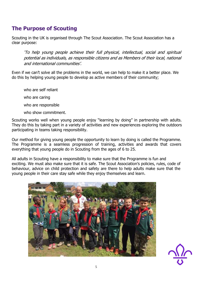## **The Purpose of Scouting**

Scouting in the UK is organised through The Scout Association. The Scout Association has a clear purpose:

'To help young people achieve their full physical, intellectual, social and spiritual potential as individuals, as responsible citizens and as Members of their local, national and international communities'.

Even if we can't solve all the problems in the world, we can help to make it a better place. We do this by helping young people to develop as active members of their community;

who are self reliant who are caring who are responsible who show commitment.

Scouting works well when young people enjoy "learning by doing" in partnership with adults. They do this by taking part in a variety of activities and new experiences exploring the outdoors participating in teams taking responsibility.

Our method for giving young people the opportunity to learn by doing is called the Programme. The Programme is a seamless progression of training, activities and awards that covers everything that young people do in Scouting from the ages of 6 to 25.

All adults in Scouting have a responsibility to make sure that the Programme is fun and exciting. We must also make sure that it is safe. The Scout Association's policies, rules, code of behaviour, advice on child protection and safety are there to help adults make sure that the young people in their care stay safe while they enjoy themselves and learn.



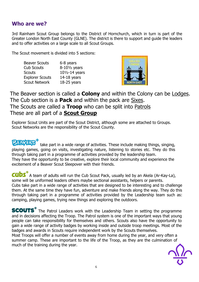## **Who are we?**

3rd Rainham Scout Group belongs to the District of Hornchurch, which in turn is part of the Greater London North East County (GLNE). The district is there to support and guide the leaders and to offer activities on a large scale to all Scout Groups.

The Scout movement is divided into 5 sections:

| <b>Beaver Scouts</b>   | 6-8 years                 |
|------------------------|---------------------------|
| <b>Cub Scouts</b>      | $8-10\frac{1}{2}$ years   |
| <b>Scouts</b>          | $10\frac{1}{2}$ -14 years |
| <b>Explorer Scouts</b> | $14-18$ years             |
| <b>Scout Network</b>   | $18-25$ years             |
|                        |                           |



The Beaver section is called a **Colony** and within the Colony can be Lodges. The Cub section is a **Pack** and within the pack are Sixes. The Scouts are called a **Troop** who can be split into Patrols These are all part of a **Scout Group**

Explorer Scout Units are part of the Scout District, although some are attached to Groups. Scout Networks are the responsibility of the Scout County.

take part in a wide range of activities. These include making things, singing, playing games, going on visits, investigating nature, listening to stories etc. They do this through taking part in a programme of activities provided by the leadership team. They have the opportunity to be creative, explore their local community and experience the excitement of a Beaver Scout Sleepover with their friends.

**CUDS** A team of adults will run the Cub Scout Pack, usually led by an Akela (Ar-Kay-La), some will be uniformed leaders others maybe sectional assistants, helpers or parents. Cubs take part in a wide range of activities that are designed to be interesting and to challenge them. At the same time they have fun, adventure and make friends along the way. They do this through taking part in a programme of activities provided by the Leadership team such as: camping, playing games, trying new things and exploring the outdoors.

**SCOUTS**<sup>\*</sup> The Patrol Leaders work with the Leadership Team in setting the programme and in decisions affecting the Troop. The Patrol system is one of the important ways that young people can take responsibility for themselves and others. Scouts also have the opportunity to gain a wide range of activity badges by working inside and outside troop meetings. Most of the badges and awards in Scouts require independent work by the Scouts themselves.

Most Troops will offer a number of events away from home during the year, and very often a summer camp. These are important to the life of the Troop, as they are the culmination of much of the training during the year.

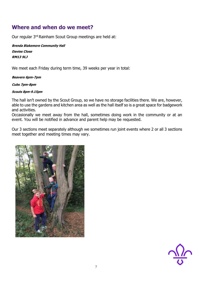## **Where and when do we meet?**

Our regular 3rd Rainham Scout Group meetings are held at:

**Brenda Blakemore Community Hall Davies Close RM13 9LJ**

We meet each Friday during term time, 39 weeks per year in total:

**Beavers 6pm-7pm** 

**Cubs 7pm-8pm** 

#### **Scouts 8pm-9.15pm**

The hall isn't owned by the Scout Group, so we have no storage facilities there. We are, however, able to use the gardens and kitchen area as well as the hall itself so is a great space for badgework and activities.

Occasionally we meet away from the hall, sometimes doing work in the community or at an event. You will be notified in advance and parent help may be requested.

Our 3 sections meet separately although we sometimes run joint events where 2 or all 3 sections meet together and meeting times may vary.



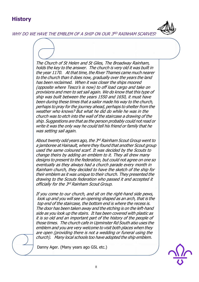## **History**

WHY DO WE HAVE THE EMBLEM OF A SHIP ON OUR 3<sup>RD</sup> RAINHAM SCARVES?

The Church of St Helen and St Giles, The Broadway Rainham, holds the key to the answer. The church is very old it was built in the year 1170. At that time, the River Thames came much nearer to the church than it does now, gradually over the years the land has been reclaimed. When it was closer the ships moored (opposite where Tesco's is now) to off load cargo and take on provisions and men to set sail again. We do know that this type of ship was built between the years 1550 and 1650, it must have been during these times that <sup>a</sup> sailor made his way to the church, perhaps to pray for the journey ahead, perhaps to shelter from the weather who knows? But what he did do while he was in the church was to etch into the wall of the staircase <sup>a</sup> drawing of the ship. Suggestions are that as the person probably could not read or write it was the only way he could tell his friend or family that he was setting sail again.

About twenty odd years ago, the 3<sup>rd</sup> Rainham Scout Group went to <sup>a</sup> jamboree at Hainault, where they found that another Scout group used the same coloured scarf. It was decided by the Scouts to change theirs by adding an emblem to it. They all drew many designs to present to the federation, but could not agree on one so eventually as they always had a church parade every month in Rainham church, they decided to have the sketch of the ship for their emblem as it was unique to their church. They presented the drawing to the Scouts federation who passed it and accepted it officially for the 3<sup>rd</sup> Rainham Scout Group.

If you come to our church, and sit on the right-hand side pews, look up and you will see an opening shaped as an arch, that is the top end of the staircase, the bottom end is where the recess is. The door has been taken away and the etching is on the left-hand side as you look up the stairs. It has been covered with plastic as it is so old and an important part of the history of the people of those times. The church cafe in Upminster Rd South also uses the emblem and you are very welcome to visit both places when they are open (providing there is not a wedding or funeral using the church). Many local schools too have adopted the ship emblem.

Danny Ager. (Many years ago GSL etc.)

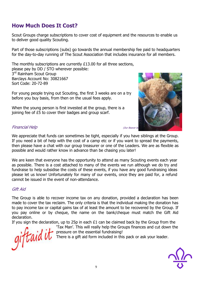## **How Much Does It Cost?**

Scout Groups charge subscriptions to cover cost of equipment and the resources to enable us to deliver good quality Scouting.

Part of those subscriptions (subs) go towards the annual membership fee paid to headquarters for the day-to-day running of The Scout Association that includes insurance for all members.

The monthly subscriptions are currently £13.00 for all three sections, please pay by DD / STO wherever possible: 3<sup>rd</sup> Rainham Scout Group Barclays Account No: 30821667 Sort Code: 20-72-89

For young people trying out Scouting, the first 3 weeks are on a try before you buy basis, from then on the usual fees apply.

When the young person is first invested at the group, there is a joining fee of £5 to cover their badges and group scarf.



#### **Financial Help** (Our Beaver bear, Richard Cour Beaver bear, Richard Fayre fundration of  $\alpha$  at the May Fayre fundration of  $\alpha$

We appreciate that funds can sometimes be tight, especially if you have siblings at the Group. If you need a bit of help with the cost of a camp etc or if you want to spread the payments, then please have a chat with our group treasurer or one of the Leaders. We are as flexible as possible and would rather know in advance than be chasing you later!

We are keen that everyone has the opportunity to attend as many Scouting events each year as possible. There is a cost attached to many of the events we run although we do try and fundraise to help subsidise the costs of these events, if you have any good fundraising ideas please let us know! Unfortunately for many of our events, once they are paid for, a refund cannot be issued in the event of non-attendance.

#### Gift Aid

The Group is able to recover income tax on any donation, provided a declaration has been made to cover the tax reclaim. The only criteria is that the individual making the donation has to pay income tax or capital gains tax of at least the amount to be recovered by the Group. If you pay online or by cheque, the name on the bank/cheque must match the Gift Aid declaration.

If you sign the declaration, up to 25p in each  $£1$  can be claimed back by the Group from the

giftaid it

'Tax Man'. This will really help the Groups finances and cut down the pressure on the essential fundraising!

There is a gift aid form included in this pack or ask your leader.

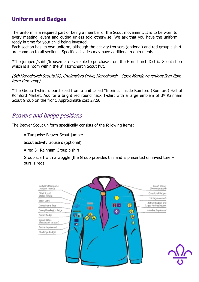## **Uniform and Badges**

The uniform is a required part of being a member of the Scout movement. It is to be worn to every meeting, event and outing unless told otherwise. We ask that you have the uniform ready in time for your child being invested.

Each section has its own uniform, although the activity trousers (optional) and red group t-shirt are common to all sections. Specific activities may have additional requirements.

\*The jumpers/shirts/trousers are available to purchase from the Hornchurch District Scout shop which is a room within the  $8<sup>th</sup>$  Hornchurch Scout hut.

(8th Hornchurch Scouts HQ, Chelmsford Drive, Hornchurch – Open Monday evenings 5pm-8pm term time only)

\*The Group T-shirt is purchased from a unit called "Inprints" inside Romford (Rumford) Hall of Romford Market. Ask for a bright red round neck T-shirt with a large emblem of 3rd Rainham Scout Group on the front. Approximate cost £7.50.

## Beavers and badge positions

The Beaver Scout uniform specifically consists of the following items:

A Turquoise Beaver Scout jumper

Scout activity trousers (optional)

A red 3rd Rainham Group t-shirt

Group scarf with a woggle (the Group provides this and is presented on investiture – ours is red)

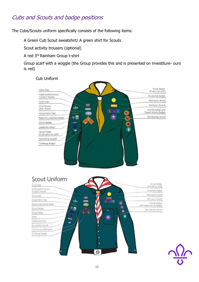## Cubs and Scouts and badge positions

The Cubs/Scouts uniform specifically consists of the following items:

A Green Cub Scout sweatshirt/ A green shirt for Scouts

Scout activity trousers (optional)

A red 3rd Rainham Group t-shirt

Group scarf with a woggle (the Group provides this and is presented on investiture- ours is red)

#### Cub UniformGroup Badge<br>(if worn on scarf) Union Flag Gallantry/Meritorious<br>Conduct Awards Occasional Badges Moving-on Award Scout Logo Joining-in Awards Chief Scout's<br>Silver Award  $\mathbb{C}$ Activity Badges and<br>Staged Activity Badges |刺 头 臭 Group Name Tape Membership Award 守面 Region/County/Area Badge District Badge Leadership Stripe id. Group Badge (if not worn on scarf) Partnership Awards Challenge Badges





#### 11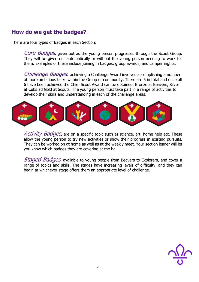## **How do we get the badges?**

There are four types of Badges in each Section:

Core Badges, given out as the young person progresses through the Scout Group. They will be given out automatically or without the young person needing to work for them. Examples of these include joining in badges, group awards, and camper nights.

Challenge Badges, achieving a Challenge Award involves accomplishing a number of more ambitious tasks within the Group or community. There are 6 in total and once all 6 have been achieved the Chief Scout Award can be obtained. Bronze at Beavers, Silver at Cubs ad Gold at Scouts. The young person must take part in a range of activities to develop their skills and understanding in each of the challenge areas.



Activity Badges, are on a specific topic such as science, art, home help etc. These allow the young person to try new activities or show their progress in existing pursuits. They can be worked on at home as well as at the weekly meet. Your section leader will let you know which badges they are covering at the hall.

Staged Badges, available to young people from Beavers to Explorers, and cover a range of topics and skills. The stages have increasing levels of difficulty, and they can begin at whichever stage offers them an appropriate level of challenge.

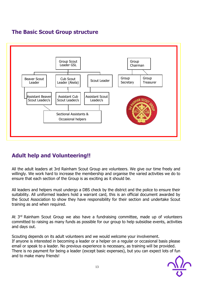## **The Basic Scout Group structure**



## **Adult help and Volunteering!!**

All the adult leaders at 3rd Rainham Scout Group are volunteers. We give our time freely and willingly. We work hard to increase the membership and organise the varied activities we do to ensure that each section of the Group is as exciting as it should be.

All leaders and helpers must undergo a DBS check by the district and the police to ensure their suitability. All uniformed leaders hold a warrant card, this is an official document awarded by the Scout Association to show they have responsibility for their section and undertake Scout training as and when required.

At 3<sup>rd</sup> Rainham Scout Group we also have a fundraising committee, made up of volunteers committed to raising as many funds as possible for our group to help subsidise events, activities and days out.

Scouting depends on its adult volunteers and we would welcome your involvement. If anyone is interested in becoming a leader or a helper on a regular or occasional basis please email or speak to a leader. No previous experience is necessary, as training will be provided. There is no payment for being a leader (except basic expenses), but you can expect lots of fun and to make many friends!

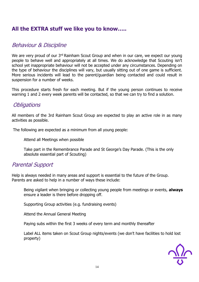## **All the EXTRA stuff we like you to know…..**

## Behaviour & Discipline

We are very proud of our 3<sup>rd</sup> Rainham Scout Group and when in our care, we expect our young people to behave well and appropriately at all times. We do acknowledge that Scouting isn't school yet inappropriate behaviour will not be accepted under any circumstances. Depending on the type of behaviour the disciplines will vary, but usually sitting out of one game is sufficient. More serious incidents will lead to the parent/guardian being contacted and could result in suspension for a number of weeks.

This procedure starts fresh for each meeting. But if the young person continues to receive warning 1 and 2 every week parents will be contacted, so that we can try to find a solution.

## **Obligations**

All members of the 3rd Rainham Scout Group are expected to play an active role in as many activities as possible.

The following are expected as a minimum from all young people:

Attend all Meetings when possible

Take part in the Remembrance Parade and St George's Day Parade. (This is the only absolute essential part of Scouting)

## Parental Support

Help is always needed in many areas and support is essential to the future of the Group. Parents are asked to help in a number of ways these include:

Being vigilant when bringing or collecting young people from meetings or events, **always** ensure a leader is there before dropping off.

Supporting Group activities (e.g. fundraising events)

Attend the Annual General Meeting

Paying subs within the first 3 weeks of every term and monthly thereafter

Label ALL items taken on Scout Group nights/events (we don't have facilities to hold lost property)

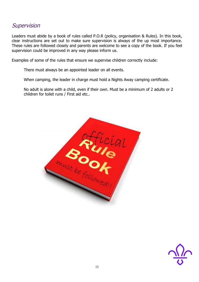## **Supervision**

Leaders must abide by a book of rules called P.O.R (policy, organisation & Rules). In this book, clear instructions are set out to make sure supervision is always of the up most importance. These rules are followed closely and parents are welcome to see a copy of the book. If you feel supervision could be improved in any way please inform us.

Examples of some of the rules that ensure we supervise children correctly include:

There must always be an appointed leader on all events.

When camping, the leader in charge must hold a Nights Away camping certificate.

No adult is alone with a child, even if their own. Must be a minimum of 2 adults or 2 children for toilet runs / First aid etc..



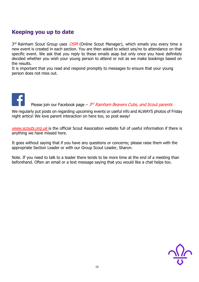## **Keeping you up to date**

3<sup>rd</sup> Rainham Scout Group uses *OSM* (Online Scout Manager), which emails you every time a new event is created in each section. You are then asked to select yes/no to attendance on that specific event. We ask that you reply to these emails asap but only once you have definitely decided whether you wish your young person to attend or not as we make bookings based on the results.

It is important that you read and respond promptly to messages to ensure that your young person does not miss out.

# Please join our Facebook page – 3<sup>rd</sup> Rainham Beavers Cubs, and Scout parents

We regularly put posts on regarding upcoming events or useful info and ALWAYS photos of Friday night antics! We love parent interaction on here too, so post away!

[www.scouts.org.uk](http://www.scouts.org.uk/) is the official Scout Association website full of useful information if there is anything we have missed here.

It goes without saying that if you have any questions or concerns; please raise them with the appropriate Section Leader or with our Group Scout Leader, Sharon.

Note. If you need to talk to a leader there tends to be more time at the end of a meeting than beforehand. Often an email or a text message saying that you would like a chat helps too.